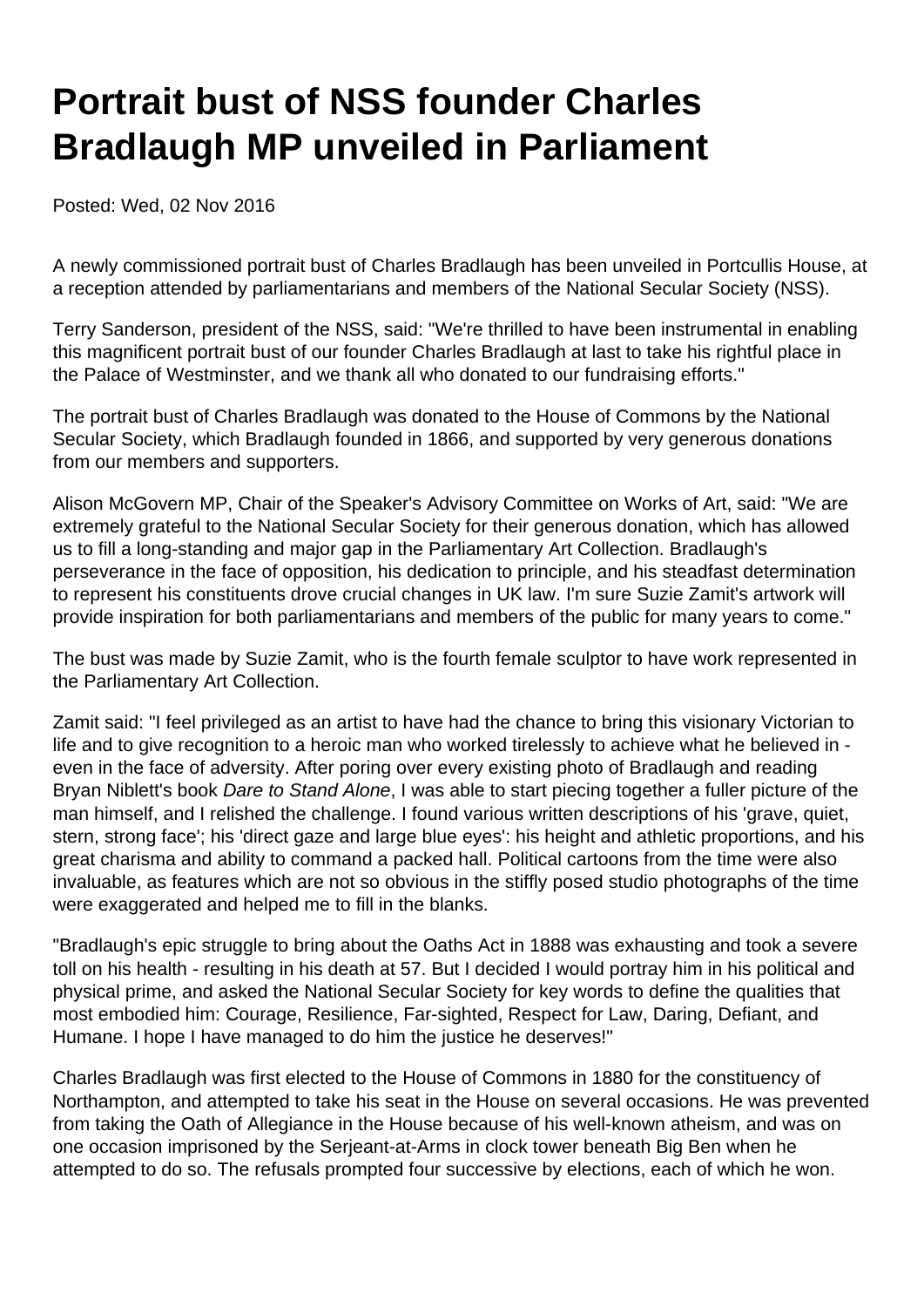## **Portrait bust of NSS founder Charles Bradlaugh MP unveiled in Parliament**

Posted: Wed, 02 Nov 2016

A newly commissioned portrait bust of Charles Bradlaugh has been unveiled in Portcullis House, at a reception attended by parliamentarians and members of the National Secular Society (NSS).

Terry Sanderson, president of the NSS, said: "We're thrilled to have been instrumental in enabling this magnificent portrait bust of our founder Charles Bradlaugh at last to take his rightful place in the Palace of Westminster, and we thank all who donated to our fundraising efforts."

The portrait bust of Charles Bradlaugh was donated to the House of Commons by the National Secular Society, which Bradlaugh founded in 1866, and supported by very generous donations from our members and supporters.

Alison McGovern MP, Chair of the Speaker's Advisory Committee on Works of Art, said: "We are extremely grateful to the National Secular Society for their generous donation, which has allowed us to fill a long-standing and major gap in the Parliamentary Art Collection. Bradlaugh's perseverance in the face of opposition, his dedication to principle, and his steadfast determination to represent his constituents drove crucial changes in UK law. I'm sure Suzie Zamit's artwork will provide inspiration for both parliamentarians and members of the public for many years to come."

The bust was made by Suzie Zamit, who is the fourth female sculptor to have work represented in the Parliamentary Art Collection.

Zamit said: "I feel privileged as an artist to have had the chance to bring this visionary Victorian to life and to give recognition to a heroic man who worked tirelessly to achieve what he believed in even in the face of adversity. After poring over every existing photo of Bradlaugh and reading Bryan Niblett's book Dare to Stand Alone, I was able to start piecing together a fuller picture of the man himself, and I relished the challenge. I found various written descriptions of his 'grave, quiet, stern, strong face'; his 'direct gaze and large blue eyes': his height and athletic proportions, and his great charisma and ability to command a packed hall. Political cartoons from the time were also invaluable, as features which are not so obvious in the stiffly posed studio photographs of the time were exaggerated and helped me to fill in the blanks.

"Bradlaugh's epic struggle to bring about the Oaths Act in 1888 was exhausting and took a severe toll on his health - resulting in his death at 57. But I decided I would portray him in his political and physical prime, and asked the National Secular Society for key words to define the qualities that most embodied him: Courage, Resilience, Far-sighted, Respect for Law, Daring, Defiant, and Humane. I hope I have managed to do him the justice he deserves!"

Charles Bradlaugh was first elected to the House of Commons in 1880 for the constituency of Northampton, and attempted to take his seat in the House on several occasions. He was prevented from taking the Oath of Allegiance in the House because of his well-known atheism, and was on one occasion imprisoned by the Serjeant-at-Arms in clock tower beneath Big Ben when he attempted to do so. The refusals prompted four successive by elections, each of which he won.